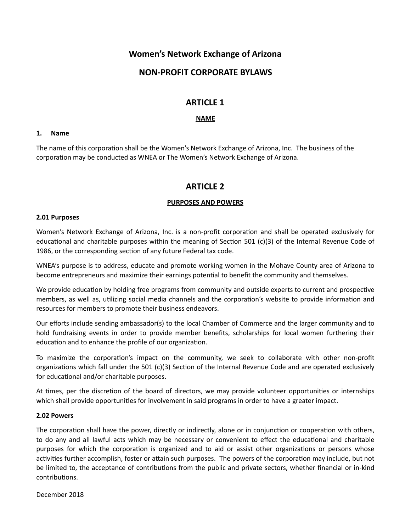# **Women's Network Exchange of Arizona**

# **NON-PROFIT CORPORATE BYLAWS**

# **ARTICLE 1**

### **NAME**

### **1. Name**

The name of this corporation shall be the Women's Network Exchange of Arizona, Inc. The business of the corporation may be conducted as WNEA or The Women's Network Exchange of Arizona.

# **ARTICLE 2**

## **PURPOSES AND POWERS**

#### **2.01 Purposes**

Women's Network Exchange of Arizona, Inc. is a non-profit corporation and shall be operated exclusively for educational and charitable purposes within the meaning of Section 501 (c)(3) of the Internal Revenue Code of 1986, or the corresponding section of any future Federal tax code.

WNEA's purpose is to address, educate and promote working women in the Mohave County area of Arizona to become entrepreneurs and maximize their earnings potential to benefit the community and themselves.

We provide education by holding free programs from community and outside experts to current and prospective members, as well as, utilizing social media channels and the corporation's website to provide information and resources for members to promote their business endeavors.

Our efforts include sending ambassador(s) to the local Chamber of Commerce and the larger community and to hold fundraising events in order to provide member benefits, scholarships for local women furthering their education and to enhance the profile of our organization.

To maximize the corporation's impact on the community, we seek to collaborate with other non-profit organizations which fall under the 501 (c)(3) Section of the Internal Revenue Code and are operated exclusively for educational and/or charitable purposes.

At times, per the discretion of the board of directors, we may provide volunteer opportunities or internships which shall provide opportunities for involvement in said programs in order to have a greater impact.

#### **2.02 Powers**

The corporation shall have the power, directly or indirectly, alone or in conjunction or cooperation with others, to do any and all lawful acts which may be necessary or convenient to effect the educational and charitable purposes for which the corporation is organized and to aid or assist other organizations or persons whose activities further accomplish, foster or attain such purposes. The powers of the corporation may include, but not be limited to, the acceptance of contributions from the public and private sectors, whether financial or in-kind contributions.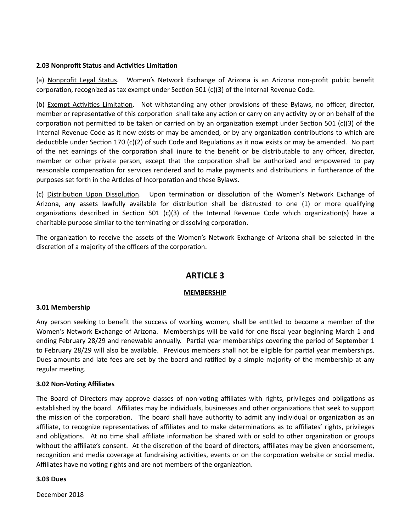### **2.03 Nonprofit Status and Activities Limitation**

(a) Nonprofit Legal Status. Women's Network Exchange of Arizona is an Arizona non-profit public benefit corporation, recognized as tax exempt under Section 501 (c)(3) of the Internal Revenue Code.

(b) Exempt Activities Limitation. Not withstanding any other provisions of these Bylaws, no officer, director, member or representative of this corporation shall take any action or carry on any activity by or on behalf of the corporation not permitted to be taken or carried on by an organization exempt under Section 501 (c)(3) of the Internal Revenue Code as it now exists or may be amended, or by any organization contributions to which are deductible under Section 170 (c)(2) of such Code and Regulations as it now exists or may be amended. No part of the net earnings of the corporation shall inure to the benefit or be distributable to any officer, director, member or other private person, except that the corporation shall be authorized and empowered to pay reasonable compensation for services rendered and to make payments and distributions in furtherance of the purposes set forth in the Articles of Incorporation and these Bylaws.

(c) Distribution Upon Dissolution. Upon termination or dissolution of the Women's Network Exchange of Arizona, any assets lawfully available for distribution shall be distrusted to one  $(1)$  or more qualifying organizations described in Section 501 (c)(3) of the Internal Revenue Code which organization(s) have a charitable purpose similar to the terminating or dissolving corporation.

The organization to receive the assets of the Women's Network Exchange of Arizona shall be selected in the discretion of a majority of the officers of the corporation.

# **ARTICLE 3**

## **MEMBERSHIP**

## **3.01 Membership**

Any person seeking to benefit the success of working women, shall be entitled to become a member of the Women's Network Exchange of Arizona. Memberships will be valid for one fiscal year beginning March 1 and ending February 28/29 and renewable annually. Partial year memberships covering the period of September 1 to February 28/29 will also be available. Previous members shall not be eligible for partial year memberships. Dues amounts and late fees are set by the board and ratified by a simple majority of the membership at any regular meeting.

#### **3.02 Non-Voting Affiliates**

The Board of Directors may approve classes of non-voting affiliates with rights, privileges and obligations as established by the board. Affiliates may be individuals, businesses and other organizations that seek to support the mission of the corporation. The board shall have authority to admit any individual or organization as an affiliate, to recognize representatives of affiliates and to make determinations as to affiliates' rights, privileges and obligations. At no time shall affiliate information be shared with or sold to other organization or groups without the affiliate's consent. At the discretion of the board of directors, affiliates may be given endorsement, recognition and media coverage at fundraising activities, events or on the corporation website or social media. Affiliates have no voting rights and are not members of the organization.

#### **3.03 Dues**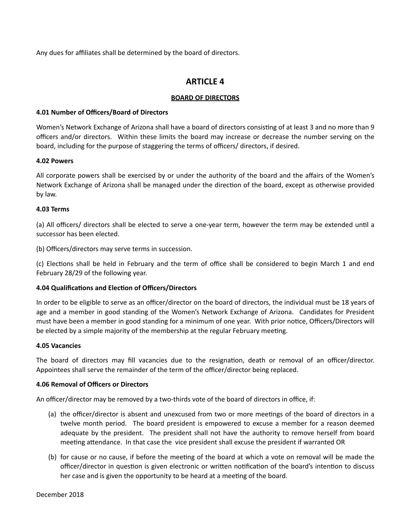Any dues for affiliates shall be determined by the board of directors.

# **ARTICLE 4**

# **BOARD OF DIRECTORS**

# **4.01 Number of Officers/Board of Directors**

Women's Network Exchange of Arizona shall have a board of directors consisting of at least 3 and no more than 9 officers and/or directors. Within these limits the board may increase or decrease the number serving on the board, including for the purpose of staggering the terms of officers/ directors, if desired.

# **4.02 Powers**

All corporate powers shall be exercised by or under the authority of the board and the affairs of the Women's Network Exchange of Arizona shall be managed under the direction of the board, except as otherwise provided by law.

# **4.03 Terms**

(a) All officers/ directors shall be elected to serve a one-year term, however the term may be extended until a successor has been elected.

(b) Officers/directors may serve terms in succession.

(c) Elections shall be held in February and the term of office shall be considered to begin March 1 and end February 28/29 of the following year.

# **4.04 Qualifications and Election of Officers/Directors**

In order to be eligible to serve as an officer/director on the board of directors, the individual must be 18 years of age and a member in good standing of the Women's Network Exchange of Arizona. Candidates for President must have been a member in good standing for a minimum of one year. With prior notice, Officers/Directors will be elected by a simple majority of the membership at the regular February meeting.

## **4.05 Vacancies**

The board of directors may fill vacancies due to the resignation, death or removal of an officer/director. Appointees shall serve the remainder of the term of the officer/director being replaced.

## **4.06 Removal of Officers or Directors**

An officer/director may be removed by a two-thirds vote of the board of directors in office, if:

- (a) the officer/director is absent and unexcused from two or more meetings of the board of directors in a twelve month period. The board president is empowered to excuse a member for a reason deemed adequate by the president. The president shall not have the authority to remove herself from board meeting attendance. In that case the vice president shall excuse the president if warranted OR
- (b) for cause or no cause, if before the meeting of the board at which a vote on removal will be made the officer/director in question is given electronic or written notification of the board's intention to discuss her case and is given the opportunity to be heard at a meeting of the board.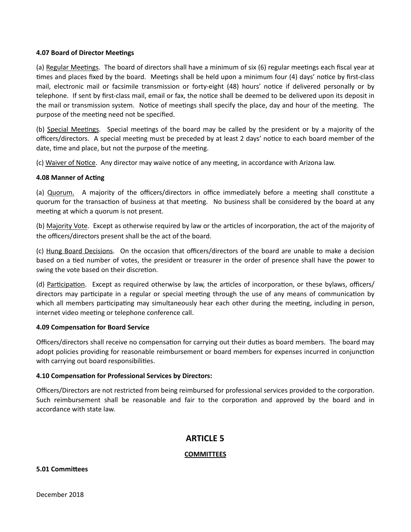#### **4.07 Board of Director Meetings**

(a) Regular Meetings. The board of directors shall have a minimum of six (6) regular meetings each fiscal year at times and places fixed by the board. Meetings shall be held upon a minimum four (4) days' notice by first-class mail, electronic mail or facsimile transmission or forty-eight (48) hours' notice if delivered personally or by telephone. If sent by first-class mail, email or fax, the notice shall be deemed to be delivered upon its deposit in the mail or transmission system. Notice of meetings shall specify the place, day and hour of the meeting. The purpose of the meeting need not be specified.

(b) Special Meetings. Special meetings of the board may be called by the president or by a majority of the officers/directors. A special meeting must be preceded by at least 2 days' notice to each board member of the date, time and place, but not the purpose of the meeting.

(c) Waiver of Notice. Any director may waive notice of any meeting, in accordance with Arizona law.

#### **4.08 Manner of Acting**

(a) Quorum. A majority of the officers/directors in office immediately before a meeting shall constitute a quorum for the transaction of business at that meeting. No business shall be considered by the board at any meeting at which a quorum is not present.

(b) Majority Vote. Except as otherwise required by law or the articles of incorporation, the act of the majority of the officers/directors present shall be the act of the board.

(c) Hung Board Decisions. On the occasion that officers/directors of the board are unable to make a decision based on a tied number of votes, the president or treasurer in the order of presence shall have the power to swing the vote based on their discretion.

(d) Participation. Except as required otherwise by law, the articles of incorporation, or these bylaws, officers/ directors may participate in a regular or special meeting through the use of any means of communication by which all members participating may simultaneously hear each other during the meeting, including in person, internet video meeting or telephone conference call.

## **4.09 Compensation for Board Service**

Officers/directors shall receive no compensation for carrying out their duties as board members. The board may adopt policies providing for reasonable reimbursement or board members for expenses incurred in conjunction with carrying out board responsibilities.

## **4.10 Compensation for Professional Services by Directors:**

Officers/Directors are not restricted from being reimbursed for professional services provided to the corporation. Such reimbursement shall be reasonable and fair to the corporation and approved by the board and in accordance with state law.

# **ARTICLE 5**

#### **COMMITTEES**

#### **5.01 Committees**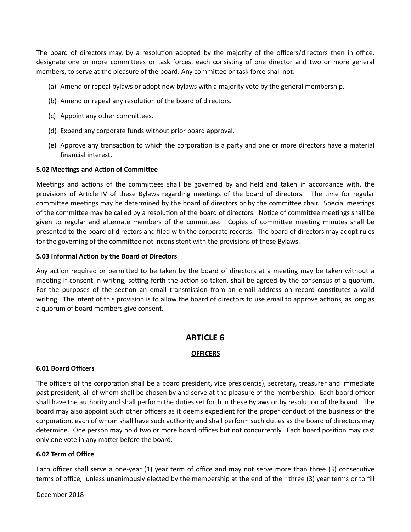The board of directors may, by a resolution adopted by the majority of the officers/directors then in office, designate one or more committees or task forces, each consisting of one director and two or more general members, to serve at the pleasure of the board. Any committee or task force shall not:

- (a) Amend or repeal bylaws or adopt new bylaws with a majority vote by the general membership.
- (b) Amend or repeal any resolution of the board of directors.
- (c) Appoint any other committees.
- (d) Expend any corporate funds without prior board approval.
- (e) Approve any transaction to which the corporation is a party and one or more directors have a material financial interest.

## **5.02 Meetings and Action of Committee**

Meetings and actions of the committees shall be governed by and held and taken in accordance with, the provisions of Article IV of these Bylaws regarding meetings of the board of directors. The time for regular committee meetings may be determined by the board of directors or by the committee chair. Special meetings of the committee may be called by a resolution of the board of directors. Notice of committee meetings shall be given to regular and alternate members of the committee. Copies of committee meeting minutes shall be presented to the board of directors and filed with the corporate records. The board of directors may adopt rules for the governing of the committee not inconsistent with the provisions of these Bylaws.

## **5.03 Informal Action by the Board of Directors**

Any action required or permitted to be taken by the board of directors at a meeting may be taken without a meeting if consent in writing, setting forth the action so taken, shall be agreed by the consensus of a quorum. For the purposes of the section an email transmission from an email address on record constitutes a valid writing. The intent of this provision is to allow the board of directors to use email to approve actions, as long as a quorum of board members give consent.

# **ARTICLE 6**

# **OFFICERS**

## **6.01 Board Officers**

The officers of the corporation shall be a board president, vice president(s), secretary, treasurer and immediate past president, all of whom shall be chosen by and serve at the pleasure of the membership. Each board officer shall have the authority and shall perform the duties set forth in these Bylaws or by resolution of the board. The board may also appoint such other officers as it deems expedient for the proper conduct of the business of the corporation, each of whom shall have such authority and shall perform such duties as the board of directors may determine. One person may hold two or more board offices but not concurrently. Each board position may cast only one vote in any matter before the board.

## **6.02 Term of Office**

Each officer shall serve a one-year (1) year term of office and may not serve more than three (3) consecutive terms of office, unless unanimously elected by the membership at the end of their three (3) year terms or to fill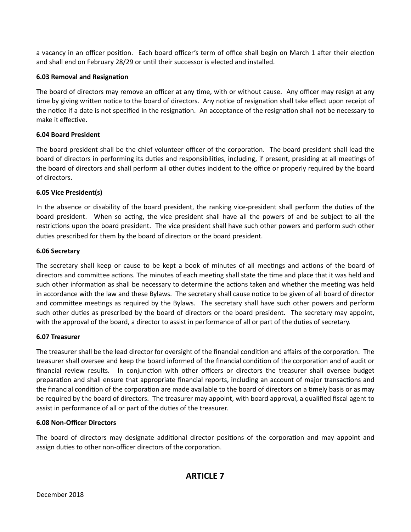a vacancy in an officer position. Each board officer's term of office shall begin on March 1 after their election and shall end on February 28/29 or until their successor is elected and installed.

# **6.03 Removal and Resignation**

The board of directors may remove an officer at any time, with or without cause. Any officer may resign at any time by giving written notice to the board of directors. Any notice of resignation shall take effect upon receipt of the notice if a date is not specified in the resignation. An acceptance of the resignation shall not be necessary to make it effective.

# **6.04 Board President**

The board president shall be the chief volunteer officer of the corporation. The board president shall lead the board of directors in performing its duties and responsibilities, including, if present, presiding at all meetings of the board of directors and shall perform all other duties incident to the office or properly required by the board of directors.

# **6.05 Vice President(s)**

In the absence or disability of the board president, the ranking vice-president shall perform the duties of the board president. When so acting, the vice president shall have all the powers of and be subject to all the restrictions upon the board president. The vice president shall have such other powers and perform such other duties prescribed for them by the board of directors or the board president.

# **6.06 Secretary**

The secretary shall keep or cause to be kept a book of minutes of all meetings and actions of the board of directors and committee actions. The minutes of each meeting shall state the time and place that it was held and such other information as shall be necessary to determine the actions taken and whether the meeting was held in accordance with the law and these Bylaws. The secretary shall cause notice to be given of all board of director and committee meetings as required by the Bylaws. The secretary shall have such other powers and perform such other duties as prescribed by the board of directors or the board president. The secretary may appoint, with the approval of the board, a director to assist in performance of all or part of the duties of secretary.

## **6.07 Treasurer**

The treasurer shall be the lead director for oversight of the financial condition and affairs of the corporation. The treasurer shall oversee and keep the board informed of the financial condition of the corporation and of audit or financial review results. In conjunction with other officers or directors the treasurer shall oversee budget preparation and shall ensure that appropriate financial reports, including an account of major transactions and the financial condition of the corporation are made available to the board of directors on a timely basis or as may be required by the board of directors. The treasurer may appoint, with board approval, a qualified fiscal agent to assist in performance of all or part of the duties of the treasurer.

# **6.08 Non-Officer Directors**

The board of directors may designate additional director positions of the corporation and may appoint and assign duties to other non-officer directors of the corporation.

# **ARTICLE 7**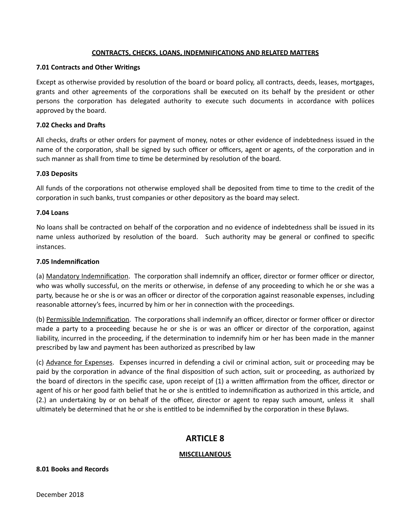#### **CONTRACTS, CHECKS, LOANS, INDEMNIFICATIONS AND RELATED MATTERS**

#### **7.01 Contracts and Other Writings**

Except as otherwise provided by resolution of the board or board policy, all contracts, deeds, leases, mortgages, grants and other agreements of the corporations shall be executed on its behalf by the president or other persons the corporation has delegated authority to execute such documents in accordance with poliices approved by the board.

#### **7.02 Checks and Drafs**

All checks, drafts or other orders for payment of money, notes or other evidence of indebtedness issued in the name of the corporation, shall be signed by such officer or officers, agent or agents, of the corporation and in such manner as shall from time to time be determined by resolution of the board.

#### **7.03 Deposits**

All funds of the corporations not otherwise employed shall be deposited from time to time to the credit of the corporation in such banks, trust companies or other depository as the board may select.

#### **7.04 Loans**

No loans shall be contracted on behalf of the corporation and no evidence of indebtedness shall be issued in its name unless authorized by resolution of the board. Such authority may be general or confined to specific instances. 

#### **7.05 Indemnification**

(a) Mandatory Indemnification. The corporation shall indemnify an officer, director or former officer or director, who was wholly successful, on the merits or otherwise, in defense of any proceeding to which he or she was a party, because he or she is or was an officer or director of the corporation against reasonable expenses, including reasonable attorney's fees, incurred by him or her in connection with the proceedings.

(b) Permissible Indemnification. The corporations shall indemnify an officer, director or former officer or director made a party to a proceeding because he or she is or was an officer or director of the corporation, against liability, incurred in the proceeding, if the determination to indemnify him or her has been made in the manner prescribed by law and payment has been authorized as prescribed by law

(c) Advance for Expenses. Expenses incurred in defending a civil or criminal action, suit or proceeding may be paid by the corporation in advance of the final disposition of such action, suit or proceeding, as authorized by the board of directors in the specific case, upon receipt of (1) a written affirmation from the officer, director or agent of his or her good faith belief that he or she is entitled to indemnification as authorized in this article, and (2.) an undertaking by or on behalf of the officer, director or agent to repay such amount, unless it shall ultimately be determined that he or she is entitled to be indemnified by the corporation in these Bylaws.

# **ARTICLE 8**

#### **MISCELLANEOUS**

#### **8.01 Books and Records**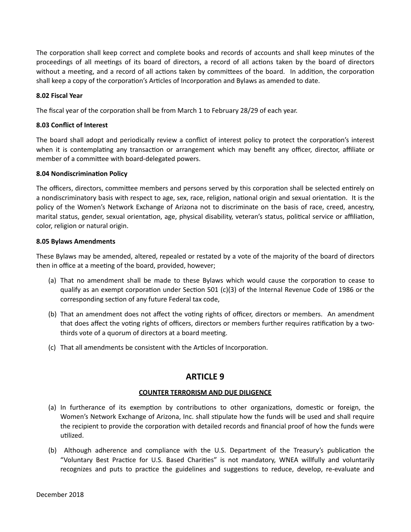The corporation shall keep correct and complete books and records of accounts and shall keep minutes of the proceedings of all meetings of its board of directors, a record of all actions taken by the board of directors without a meeting, and a record of all actions taken by committees of the board. In addition, the corporation shall keep a copy of the corporation's Articles of Incorporation and Bylaws as amended to date.

# **8.02 Fiscal Year**

The fiscal year of the corporation shall be from March 1 to February 28/29 of each year.

## **8.03 Conflict of Interest**

The board shall adopt and periodically review a conflict of interest policy to protect the corporation's interest when it is contemplating any transaction or arrangement which may benefit any officer, director, affiliate or member of a committee with board-delegated powers.

## **8.04 Nondiscrimination Policy**

The officers, directors, committee members and persons served by this corporation shall be selected entirely on a nondiscriminatory basis with respect to age, sex, race, religion, national origin and sexual orientation. It is the policy of the Women's Network Exchange of Arizona not to discriminate on the basis of race, creed, ancestry, marital status, gender, sexual orientation, age, physical disability, veteran's status, political service or affiliation, color, religion or natural origin.

## **8.05 Bylaws Amendments**

These Bylaws may be amended, altered, repealed or restated by a vote of the majority of the board of directors then in office at a meeting of the board, provided, however;

- (a) That no amendment shall be made to these Bylaws which would cause the corporation to cease to qualify as an exempt corporation under Section 501 (c)(3) of the Internal Revenue Code of 1986 or the corresponding section of any future Federal tax code,
- (b) That an amendment does not affect the voting rights of officer, directors or members. An amendment that does affect the voting rights of officers, directors or members further requires ratification by a twothirds vote of a quorum of directors at a board meeting.
- (c) That all amendments be consistent with the Articles of Incorporation.

# **ARTICLE 9**

## **COUNTER TERRORISM AND DUE DILIGENCE**

- (a) In furtherance of its exemption by contributions to other organizations, domestic or foreign, the Women's Network Exchange of Arizona, Inc. shall stipulate how the funds will be used and shall require the recipient to provide the corporation with detailed records and financial proof of how the funds were utilized.
- (b) Although adherence and compliance with the U.S. Department of the Treasury's publication the "Voluntary Best Practice for U.S. Based Charities" is not mandatory, WNEA willfully and voluntarily recognizes and puts to practice the guidelines and suggestions to reduce, develop, re-evaluate and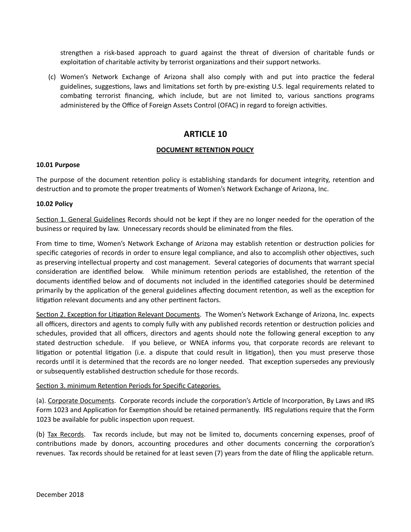strengthen a risk-based approach to guard against the threat of diversion of charitable funds or exploitation of charitable activity by terrorist organizations and their support networks.

(c) Women's Network Exchange of Arizona shall also comply with and put into practice the federal guidelines, suggestions, laws and limitations set forth by pre-existing U.S. legal requirements related to combating terrorist financing, which include, but are not limited to, various sanctions programs administered by the Office of Foreign Assets Control (OFAC) in regard to foreign activities.

# **ARTICLE 10**

# **DOCUMENT RETENTION POLICY**

## **10.01 Purpose**

The purpose of the document retention policy is establishing standards for document integrity, retention and destruction and to promote the proper treatments of Women's Network Exchange of Arizona, Inc.

## **10.02 Policy**

Section 1. General Guidelines Records should not be kept if they are no longer needed for the operation of the business or required by law. Unnecessary records should be eliminated from the files.

From time to time, Women's Network Exchange of Arizona may establish retention or destruction policies for specific categories of records in order to ensure legal compliance, and also to accomplish other objectives, such as preserving intellectual property and cost management. Several categories of documents that warrant special consideration are identified below. While minimum retention periods are established, the retention of the documents identified below and of documents not included in the identified categories should be determined primarily by the application of the general guidelines affecting document retention, as well as the exception for litigation relevant documents and any other pertinent factors.

Section 2. Exception for Litigation Relevant Documents. The Women's Network Exchange of Arizona, Inc. expects all officers, directors and agents to comply fully with any published records retention or destruction policies and schedules, provided that all officers, directors and agents should note the following general exception to any stated destruction schedule. If you believe, or WNEA informs you, that corporate records are relevant to litigation or potential litigation (i.e. a dispute that could result in litigation), then you must preserve those records until it is determined that the records are no longer needed. That exception supersedes any previously or subsequently established destruction schedule for those records.

## Section 3. minimum Retention Periods for Specific Categories.

(a). Corporate Documents. Corporate records include the corporation's Article of Incorporation, By Laws and IRS Form 1023 and Application for Exemption should be retained permanently. IRS regulations require that the Form 1023 be available for public inspection upon request.

(b) Tax Records. Tax records include, but may not be limited to, documents concerning expenses, proof of contributions made by donors, accounting procedures and other documents concerning the corporation's revenues. Tax records should be retained for at least seven (7) years from the date of filing the applicable return.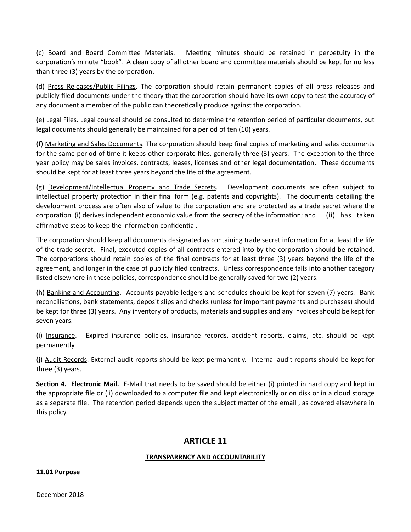(c) Board and Board Committee Materials. Meeting minutes should be retained in perpetuity in the corporation's minute "book". A clean copy of all other board and committee materials should be kept for no less than three  $(3)$  years by the corporation.

(d) Press Releases/Public Filings. The corporation should retain permanent copies of all press releases and publicly filed documents under the theory that the corporation should have its own copy to test the accuracy of any document a member of the public can theoretically produce against the corporation.

(e) Legal Files. Legal counsel should be consulted to determine the retention period of particular documents, but legal documents should generally be maintained for a period of ten (10) years.

(f) Marketing and Sales Documents. The corporation should keep final copies of marketing and sales documents for the same period of time it keeps other corporate files, generally three (3) years. The exception to the three year policy may be sales invoices, contracts, leases, licenses and other legal documentation. These documents should be kept for at least three years beyond the life of the agreement.

(g) Development/Intellectual Property and Trade Secrets. Development documents are ohen subject to intellectual property protection in their final form (e.g. patents and copyrights). The documents detailing the development process are often also of value to the corporation and are protected as a trade secret where the corporation (i) derives independent economic value from the secrecy of the information; and (ii) has taken affirmative steps to keep the information confidential.

The corporation should keep all documents designated as containing trade secret information for at least the life of the trade secret. Final, executed copies of all contracts entered into by the corporation should be retained. The corporations should retain copies of the final contracts for at least three  $(3)$  years beyond the life of the agreement, and longer in the case of publicly filed contracts. Unless correspondence falls into another category listed elsewhere in these policies, correspondence should be generally saved for two (2) years.

(h) Banking and Accounting. Accounts payable ledgers and schedules should be kept for seven (7) years. Bank reconciliations, bank statements, deposit slips and checks (unless for important payments and purchases) should be kept for three (3) years. Any inventory of products, materials and supplies and any invoices should be kept for seven years.

(i) Insurance. Expired insurance policies, insurance records, accident reports, claims, etc. should be kept permanently. 

(j) Audit Records. External audit reports should be kept permanently. Internal audit reports should be kept for three (3) years.

**Section 4. Electronic Mail.** E-Mail that needs to be saved should be either (i) printed in hard copy and kept in the appropriate file or (ii) downloaded to a computer file and kept electronically or on disk or in a cloud storage as a separate file. The retention period depends upon the subject matter of the email, as covered elsewhere in this policy.

# **ARTICLE 11**

# **TRANSPARRNCY AND ACCOUNTABILITY**

## **11.01 Purpose**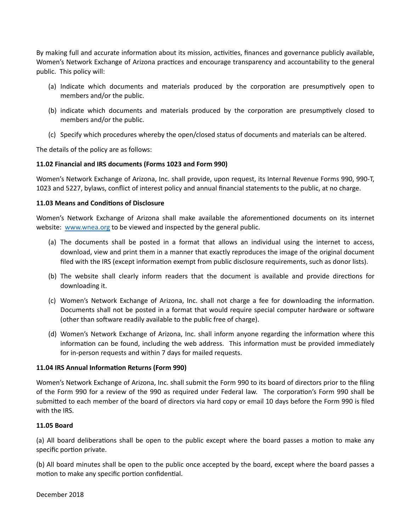By making full and accurate information about its mission, activities, finances and governance publicly available, Women's Network Exchange of Arizona practices and encourage transparency and accountability to the general public. This policy will:

- (a) Indicate which documents and materials produced by the corporation are presumptively open to members and/or the public.
- (b) indicate which documents and materials produced by the corporation are presumptively closed to members and/or the public.
- (c) Specify which procedures whereby the open/closed status of documents and materials can be altered.

The details of the policy are as follows:

# **11.02 Financial and IRS documents (Forms 1023 and Form 990)**

Women's Network Exchange of Arizona, Inc. shall provide, upon request, its Internal Revenue Forms 990, 990-T, 1023 and 5227, bylaws, conflict of interest policy and annual financial statements to the public, at no charge.

# **11.03 Means and Conditions of Disclosure**

Women's Network Exchange of Arizona shall make available the aforementioned documents on its internet website: www.wnea.org to be viewed and inspected by the general public.

- (a) The documents shall be posted in a format that allows an individual using the internet to access, download, view and print them in a manner that exactly reproduces the image of the original document filed with the IRS (except information exempt from public disclosure requirements, such as donor lists).
- (b) The website shall clearly inform readers that the document is available and provide directions for downloading it.
- (c) Women's Network Exchange of Arizona, Inc. shall not charge a fee for downloading the information. Documents shall not be posted in a format that would require special computer hardware or software (other than software readily available to the public free of charge).
- (d) Women's Network Exchange of Arizona, Inc. shall inform anyone regarding the information where this information can be found, including the web address. This information must be provided immediately for in-person requests and within 7 days for mailed requests.

## **11.04 IRS Annual Information Returns (Form 990)**

Women's Network Exchange of Arizona, Inc. shall submit the Form 990 to its board of directors prior to the filing of the Form 990 for a review of the 990 as required under Federal law. The corporation's Form 990 shall be submitted to each member of the board of directors via hard copy or email 10 days before the Form 990 is filed with the IRS.

## **11.05 Board**

(a) All board deliberations shall be open to the public except where the board passes a motion to make any specific portion private.

(b) All board minutes shall be open to the public once accepted by the board, except where the board passes a motion to make any specific portion confidential.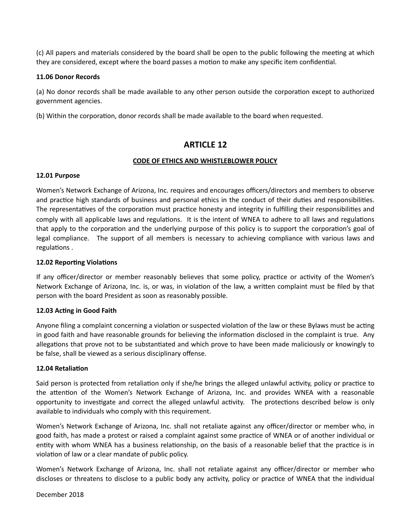(c) All papers and materials considered by the board shall be open to the public following the meeting at which they are considered, except where the board passes a motion to make any specific item confidential.

#### **11.06 Donor Records**

(a) No donor records shall be made available to any other person outside the corporation except to authorized government agencies.

(b) Within the corporation, donor records shall be made available to the board when requested.

# **ARTICLE 12**

# **CODE OF ETHICS AND WHISTLEBLOWER POLICY**

## **12.01 Purpose**

Women's Network Exchange of Arizona, Inc. requires and encourages officers/directors and members to observe and practice high standards of business and personal ethics in the conduct of their duties and responsibilities. The representatives of the corporation must practice honesty and integrity in fulfilling their responsibilities and comply with all applicable laws and regulations. It is the intent of WNEA to adhere to all laws and regulations that apply to the corporation and the underlying purpose of this policy is to support the corporation's goal of legal compliance. The support of all members is necessary to achieving compliance with various laws and regulations.

### **12.02 Reporting Violations**

If any officer/director or member reasonably believes that some policy, practice or activity of the Women's Network Exchange of Arizona, Inc. is, or was, in violation of the law, a written complaint must be filed by that person with the board President as soon as reasonably possible.

## **12.03 Acting in Good Faith**

Anyone filing a complaint concerning a violation or suspected violation of the law or these Bylaws must be acting in good faith and have reasonable grounds for believing the information disclosed in the complaint is true. Any allegations that prove not to be substantiated and which prove to have been made maliciously or knowingly to be false, shall be viewed as a serious disciplinary offense.

#### **12.04 Retaliation**

Said person is protected from retaliation only if she/he brings the alleged unlawful activity, policy or practice to the attention of the Women's Network Exchange of Arizona, Inc. and provides WNEA with a reasonable opportunity to investigate and correct the alleged unlawful activity. The protections described below is only available to individuals who comply with this requirement.

Women's Network Exchange of Arizona, Inc. shall not retaliate against any officer/director or member who, in good faith, has made a protest or raised a complaint against some practice of WNEA or of another individual or entity with whom WNEA has a business relationship, on the basis of a reasonable belief that the practice is in violation of law or a clear mandate of public policy.

Women's Network Exchange of Arizona, Inc. shall not retaliate against any officer/director or member who discloses or threatens to disclose to a public body any activity, policy or practice of WNEA that the individual